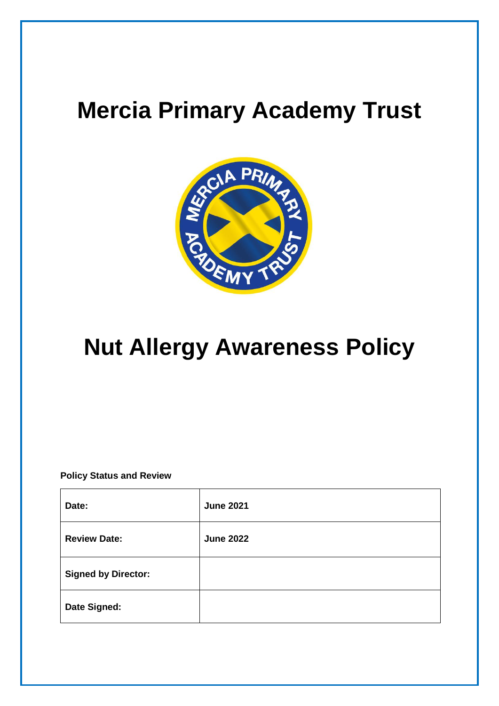# **Mercia Primary Academy Trust**



## **Nut Allergy Awareness Policy**

**Policy Status and Review**

| Date:                      | <b>June 2021</b> |
|----------------------------|------------------|
| <b>Review Date:</b>        | <b>June 2022</b> |
| <b>Signed by Director:</b> |                  |
| Date Signed:               |                  |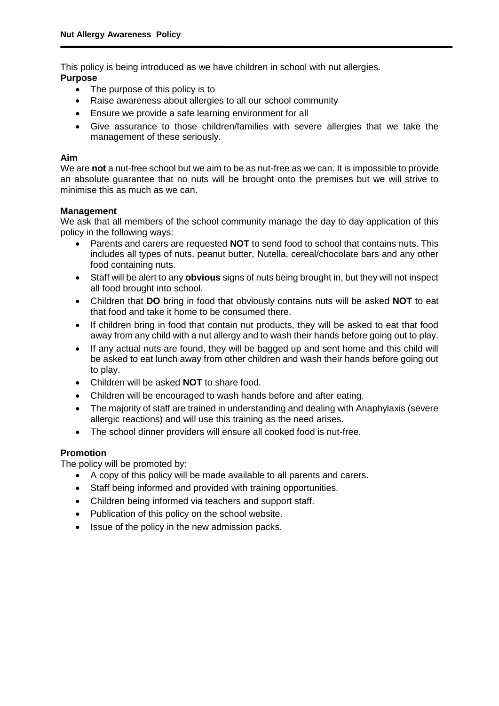This policy is being introduced as we have children in school with nut allergies. **Purpose** 

- The purpose of this policy is to
- Raise awareness about allergies to all our school community
- Ensure we provide a safe learning environment for all
- Give assurance to those children/families with severe allergies that we take the management of these seriously.

#### **Aim**

We are **not** a nut-free school but we aim to be as nut-free as we can. It is impossible to provide an absolute guarantee that no nuts will be brought onto the premises but we will strive to minimise this as much as we can.

#### **Management**

We ask that all members of the school community manage the day to day application of this policy in the following ways:

- Parents and carers are requested **NOT** to send food to school that contains nuts. This includes all types of nuts, peanut butter, Nutella, cereal/chocolate bars and any other food containing nuts.
- Staff will be alert to any **obvious** signs of nuts being brought in, but they will not inspect all food brought into school.
- Children that **DO** bring in food that obviously contains nuts will be asked **NOT** to eat that food and take it home to be consumed there.
- If children bring in food that contain nut products, they will be asked to eat that food away from any child with a nut allergy and to wash their hands before going out to play.
- If any actual nuts are found, they will be bagged up and sent home and this child will be asked to eat lunch away from other children and wash their hands before going out to play.
- Children will be asked **NOT** to share food.
- Children will be encouraged to wash hands before and after eating.
- The majority of staff are trained in understanding and dealing with Anaphylaxis (severe allergic reactions) and will use this training as the need arises.
- The school dinner providers will ensure all cooked food is nut-free.

### **Promotion**

The policy will be promoted by:

- A copy of this policy will be made available to all parents and carers.
- Staff being informed and provided with training opportunities.
- Children being informed via teachers and support staff.
- Publication of this policy on the school website.
- Issue of the policy in the new admission packs.